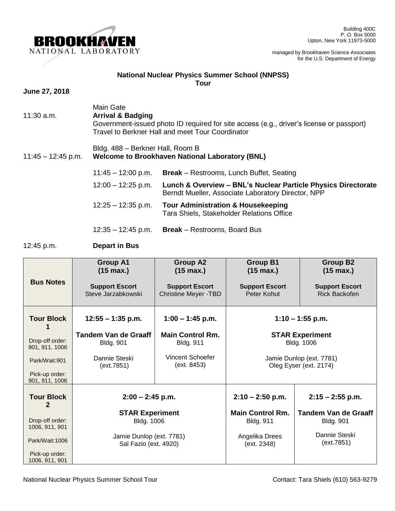

## **National Nuclear Physics Summer School (NNPSS) Tour**

## **June 27, 2018**

- Main Gate 11:30 a.m. **Arrival & Badging**  Government-issued photo ID required for site access (e.g., driver's license or passport) Travel to Berkner Hall and meet Tour Coordinator
	- Bldg. 488 Berkner Hall, Room B

## 11:45 – 12:45 p.m. **Welcome to Brookhaven National Laboratory (BNL)**

| $11:45 - 12:00$ p.m. | <b>Break</b> – Restrooms, Lunch Buffet, Seating                                                                     |
|----------------------|---------------------------------------------------------------------------------------------------------------------|
| $12:00 - 12:25$ p.m. | Lunch & Overview - BNL's Nuclear Particle Physics Directorate<br>Berndt Mueller, Associate Laboratory Director, NPP |
| $12:25 - 12:35$ p.m. | <b>Tour Administration &amp; Housekeeping</b><br>Tara Shiels, Stakeholder Relations Office                          |

12:35 – 12:45 p.m. **Break** – Restrooms, Board Bus

## 12:45 p.m. **Depart in Bus**

|                                   | <b>Group A1</b><br>$(15 \text{ max.})$            | <b>Group A2</b><br>$(15 \text{ max.})$               | <b>Group B1</b><br>$(15 \text{ max.})$             | <b>Group B2</b><br>$(15 \text{ max.})$        |
|-----------------------------------|---------------------------------------------------|------------------------------------------------------|----------------------------------------------------|-----------------------------------------------|
| <b>Bus Notes</b>                  | <b>Support Escort</b><br>Steve Jarzabkowski       | <b>Support Escort</b><br><b>Christine Meyer -TBD</b> | <b>Support Escort</b><br>Peter Kohut               | <b>Support Escort</b><br><b>Rick Backofen</b> |
| <b>Tour Block</b>                 | $12:55 - 1:35$ p.m.                               | $1:00 - 1:45$ p.m.                                   |                                                    | $1:10 - 1:55$ p.m.                            |
| Drop-off order:<br>901, 911, 1006 | <b>Tandem Van de Graaff</b><br><b>Bldg. 901</b>   | <b>Main Control Rm.</b><br><b>Bldg. 911</b>          |                                                    | <b>STAR Experiment</b><br>Bldg. 1006          |
| Park/Wait:901                     | Dannie Steski<br>(ext.7851)                       | Vincent Schoefer<br>(ext. 8453)                      | Jamie Dunlop (ext. 7781)<br>Oleg Eyser (ext. 2174) |                                               |
| Pick-up order:<br>901, 911, 1006  |                                                   |                                                      |                                                    |                                               |
| <b>Tour Block</b><br>2            | $2:00 - 2:45$ p.m.                                |                                                      | $2:10 - 2:50$ p.m.                                 | $2:15 - 2:55$ p.m.                            |
|                                   | <b>STAR Experiment</b>                            |                                                      | <b>Main Control Rm.</b>                            | <b>Tandem Van de Graaff</b>                   |
| Drop-off order:<br>1006, 911, 901 | <b>Bldg. 1006</b>                                 |                                                      | <b>Bldg. 911</b>                                   | <b>Bldg. 901</b>                              |
| Park/Wait:1006                    | Jamie Dunlop (ext. 7781)<br>Sal Fazio (ext. 4920) |                                                      | Angelika Drees<br>(ext. 2348)                      | Dannie Steski<br>(ext.7851)                   |
| Pick-up order:<br>1006, 911, 901  |                                                   |                                                      |                                                    |                                               |